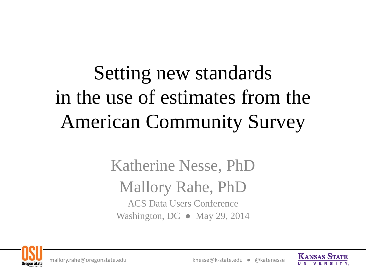# Setting new standards in the use of estimates from the American Community Survey

### Katherine Nesse, PhD Mallory Rahe, PhD ACS Data Users Conference Washington, DC ● May 29, 2014





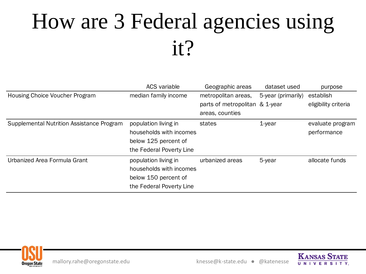# How are 3 Federal agencies using it?

|                                           | <b>ACS</b> variable      | Geographic areas               | dataset used       | purpose              |
|-------------------------------------------|--------------------------|--------------------------------|--------------------|----------------------|
| Housing Choice Voucher Program            | median family income     | metropolitan areas,            | 5-year (primarily) | establish            |
|                                           |                          | parts of metropolitan & 1-year |                    | eligibility criteria |
|                                           |                          | areas, counties                |                    |                      |
| Supplemental Nutrition Assistance Program | population living in     | states                         | $1$ -year          | evaluate program     |
|                                           | households with incomes  |                                |                    | performance          |
|                                           | below 125 percent of     |                                |                    |                      |
|                                           | the Federal Poverty Line |                                |                    |                      |
| Urbanized Area Formula Grant              | population living in     | urbanized areas                | 5-year             | allocate funds       |
|                                           | households with incomes  |                                |                    |                      |
|                                           | below 150 percent of     |                                |                    |                      |
|                                           | the Federal Poverty Line |                                |                    |                      |



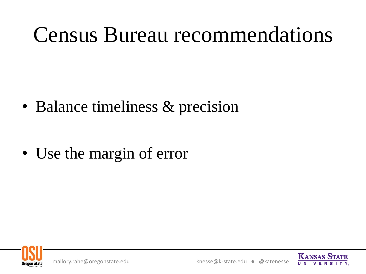# Census Bureau recommendations

• Balance timeliness & precision

• Use the margin of error



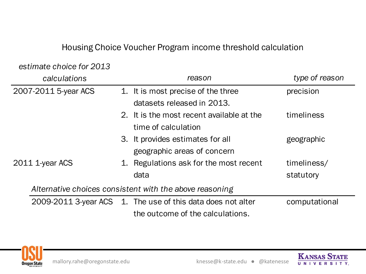#### Housing Choice Voucher Program income threshold calculation

#### *estimate choice for 2013*

| calculations                                            |    | reason                                                      | type of reason |
|---------------------------------------------------------|----|-------------------------------------------------------------|----------------|
| 2007-2011 5-year ACS                                    |    | 1. It is most precise of the three                          | precision      |
|                                                         |    | datasets released in 2013.                                  |                |
|                                                         |    | 2. It is the most recent available at the                   | timeliness     |
|                                                         |    | time of calculation                                         |                |
|                                                         |    | 3. It provides estimates for all                            | geographic     |
|                                                         |    | geographic areas of concern                                 |                |
| 2011 1-year ACS                                         | 1. | Regulations ask for the most recent                         | timeliness/    |
|                                                         |    | data                                                        | statutory      |
| Alternative choices consistent with the above reasoning |    |                                                             |                |
|                                                         |    | 2009-2011 3-year ACS 1. The use of this data does not alter | computational  |
|                                                         |    | the outcome of the calculations.                            |                |



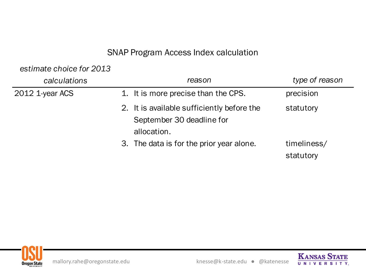#### SNAP Program Access Index calculation

*estimate choice for 2013* 

| calculations    | reason                                                                                 | type of reason           |
|-----------------|----------------------------------------------------------------------------------------|--------------------------|
| 2012 1-year ACS | 1. It is more precise than the CPS.                                                    | precision                |
|                 | 2. It is available sufficiently before the<br>September 30 deadline for<br>allocation. | statutory                |
|                 | 3. The data is for the prior year alone.                                               | timeliness/<br>statutory |



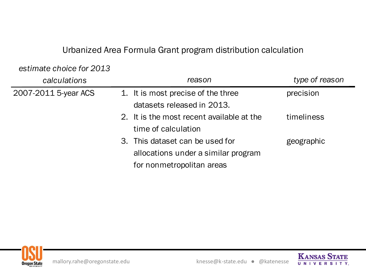#### Urbanized Area Formula Grant program distribution calculation

*estimate choice for 2013* 

| calculations         | reason                                    | type of reason |
|----------------------|-------------------------------------------|----------------|
| 2007-2011 5-year ACS | 1. It is most precise of the three        | precision      |
|                      | datasets released in 2013.                |                |
|                      | 2. It is the most recent available at the | timeliness     |
|                      | time of calculation                       |                |
|                      | 3. This dataset can be used for           | geographic     |
|                      | allocations under a similar program       |                |
|                      | for nonmetropolitan areas                 |                |

datasets released in 2013.



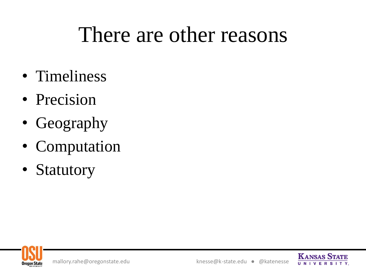## There are other reasons

- Timeliness
- Precision
- Geography
- Computation
- Statutory



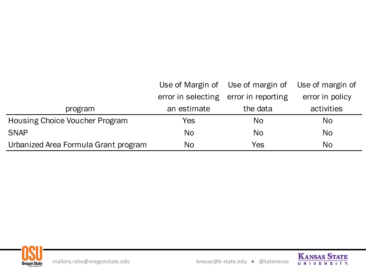|                                      |                    | Use of Margin of Use of margin of | Use of margin of |
|--------------------------------------|--------------------|-----------------------------------|------------------|
|                                      | error in selecting | error in reporting                | error in policy  |
| program                              | an estimate        | the data                          | activities       |
| Housing Choice Voucher Program       | Yes.               | N <sub>o</sub>                    | No               |
| <b>SNAP</b>                          | N <sub>o</sub>     | N <sub>o</sub>                    | No               |
| Urbanized Area Formula Grant program | No                 | Yes                               | No               |



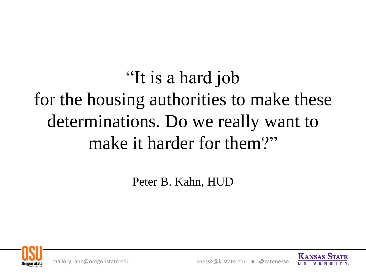"It is a hard job for the housing authorities to make these determinations. Do we really want to make it harder for them?"

Peter B. Kahn, HUD



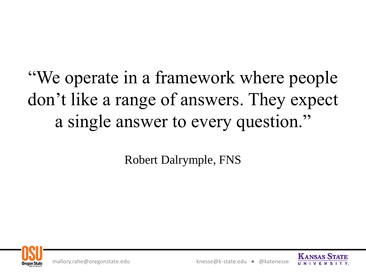### "We operate in a framework where people don't like a range of answers. They expect a single answer to every question."

Robert Dalrymple, FNS



mallory.rahe@oregonstate.edu knesse@k-state.edu ● @katenesse

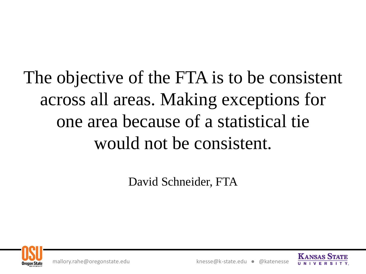### The objective of the FTA is to be consistent across all areas. Making exceptions for one area because of a statistical tie would not be consistent.

David Schneider, FTA



mallory.rahe@oregonstate.edu knesse@k-state.edu ● @katenesse